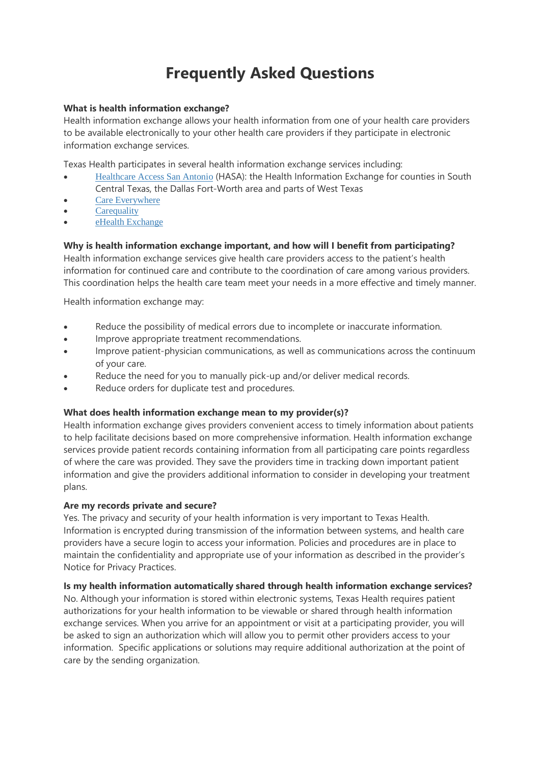# **Frequently Asked Questions**

### **What is health information exchange?**

Health information exchange allows your health information from one of your health care providers to be available electronically to your other health care providers if they participate in electronic information exchange services.

Texas Health participates in several health information exchange services including:

- Healthcare Access San Antonio (HASA): the Health Information Exchange for counties in South Central Texas, the Dallas Fort-Worth area and parts of West Texas
- Care Everywhere
- **Carequality**
- eHealth Exchange

## **Why is health information exchange important, and how will I benefit from participating?**

Health information exchange services give health care providers access to the patient's health information for continued care and contribute to the coordination of care among various providers. This coordination helps the health care team meet your needs in a more effective and timely manner.

Health information exchange may:

- Reduce the possibility of medical errors due to incomplete or inaccurate information.
- Improve appropriate treatment recommendations.
- Improve patient-physician communications, as well as communications across the continuum of your care.
- Reduce the need for you to manually pick-up and/or deliver medical records.
- Reduce orders for duplicate test and procedures.

### **What does health information exchange mean to my provider(s)?**

Health information exchange gives providers convenient access to timely information about patients to help facilitate decisions based on more comprehensive information. Health information exchange services provide patient records containing information from all participating care points regardless of where the care was provided. They save the providers time in tracking down important patient information and give the providers additional information to consider in developing your treatment plans.

### **Are my records private and secure?**

Yes. The privacy and security of your health information is very important to Texas Health. Information is encrypted during transmission of the information between systems, and health care providers have a secure login to access your information. Policies and procedures are in place to maintain the confidentiality and appropriate use of your information as described in the provider's Notice for Privacy Practices.

### **Is my health information automatically shared through health information exchange services?**

No. Although your information is stored within electronic systems, Texas Health requires patient authorizations for your health information to be viewable or shared through health information exchange services. When you arrive for an appointment or visit at a participating provider, you will be asked to sign an authorization which will allow you to permit other providers access to your information. Specific applications or solutions may require additional authorization at the point of care by the sending organization.